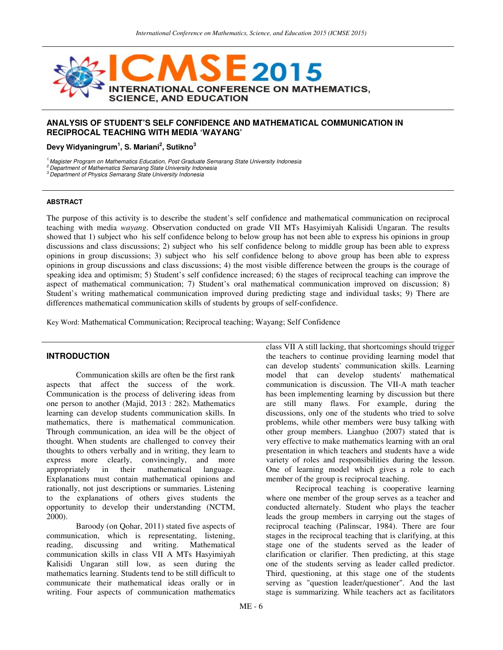

### **ANALYSIS OF STUDENT'S SELF CONFIDENCE AND MATHEMATICAL COMMUNICATION IN RECIPROCAL TEACHING WITH MEDIA 'WAYANG'**

**Devy Widyaningrum<sup>1</sup> , S. Mariani<sup>2</sup> , Sutikno<sup>3</sup>**

<sup>1.</sup>Magister Program on Mathematics Education, Post Graduate Semarang State University Indonesia

<sup>2</sup> Department of Mathematics Semarang State University Indonesia

<sup>3</sup> Department of Physics Semarang State University Indonesia

#### **ABSTRACT**

The purpose of this activity is to describe the student's self confidence and mathematical communication on reciprocal teaching with media *wayang*. Observation conducted on grade VII MTs Hasyimiyah Kalisidi Ungaran. The results showed that 1) subject who his self confidence belong to below group has not been able to express his opinions in group discussions and class discussions; 2) subject who his self confidence belong to middle group has been able to express opinions in group discussions; 3) subject who his self confidence belong to above group has been able to express opinions in group discussions and class discussions; 4) the most visible difference between the groups is the courage of speaking idea and optimism; 5) Student's self confidence increased; 6) the stages of reciprocal teaching can improve the aspect of mathematical communication; 7) Student's oral mathematical communication improved on discussion; 8) Student's writing mathematical communication improved during predicting stage and individual tasks; 9) There are differences mathematical communication skills of students by groups of self-confidence.

Key Word: Mathematical Communication; Reciprocal teaching; Wayang; Self Confidence

### **INTRODUCTION**

 Communication skills are often be the first rank aspects that affect the success of the work. Communication is the process of delivering ideas from one person to another (Majid, 2013 : 282). Mathematics learning can develop students communication skills. In mathematics, there is mathematical communication. Through communication, an idea will be the object of thought. When students are challenged to convey their thoughts to others verbally and in writing, they learn to express more clearly, convincingly, and more appropriately in their mathematical language. appropriately in their mathematical language. Explanations must contain mathematical opinions and rationally, not just descriptions or summaries. Listening to the explanations of others gives students the opportunity to develop their understanding (NCTM, 2000).

 Baroody (on Qohar, 2011) stated five aspects of communication, which is representating, listening, reading, discussing and writing. Mathematical communication skills in class VII A MTs Hasyimiyah Kalisidi Ungaran still low, as seen during the mathematics learning. Students tend to be still difficult to communicate their mathematical ideas orally or in writing. Four aspects of communication mathematics

class VII A still lacking, that shortcomings should trigger the teachers to continue providing learning model that can develop students' communication skills. Learning model that can develop students' mathematical communication is discussion. The VII-A math teacher has been implementing learning by discussion but there are still many flaws. For example, during the discussions, only one of the students who tried to solve problems, while other members were busy talking with other group members. Lianghuo (2007) stated that is very effective to make mathematics learning with an oral presentation in which teachers and students have a wide variety of roles and responsibilities during the lesson. One of learning model which gives a role to each member of the group is reciprocal teaching.

 Reciprocal teaching is cooperative learning where one member of the group serves as a teacher and conducted alternately. Student who plays the teacher leads the group members in carrying out the stages of reciprocal teaching (Palinscar, 1984). There are four stages in the reciprocal teaching that is clarifying, at this stage one of the students served as the leader of clarification or clarifier. Then predicting, at this stage one of the students serving as leader called predictor. Third, questioning, at this stage one of the students serving as "question leader/questioner". And the last stage is summarizing. While teachers act as facilitators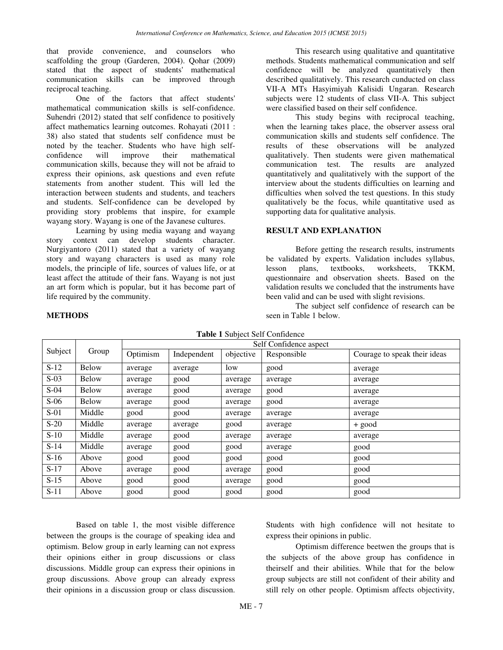that provide convenience, and counselors who scaffolding the group (Garderen, 2004). Qohar (2009) stated that the aspect of students' mathematical communication skills can be improved through reciprocal teaching.

 One of the factors that affect students' mathematical communication skills is self-confidence. Suhendri (2012) stated that self confidence to positively affect mathematics learning outcomes. Rohayati (2011 : 38) also stated that students self confidence must be noted by the teacher. Students who have high self-<br>confidence will improve their mathematical improve their mathematical communication skills, because they will not be afraid to express their opinions, ask questions and even refute statements from another student. This will led the interaction between students and students, and teachers and students. Self-confidence can be developed by providing story problems that inspire, for example wayang story. Wayang is one of the Javanese cultures.

Learning by using media wayang and wayang story context can develop students character. Nurgiyantoro (2011) stated that a variety of wayang story and wayang characters is used as many role models, the principle of life, sources of values life, or at least affect the attitude of their fans. Wayang is not just an art form which is popular, but it has become part of life required by the community.

**METHODS** 

This research using qualitative and quantitative methods. Students mathematical communication and self confidence will be analyzed quantitatively then described qualitatively. This research cunducted on class VII-A MTs Hasyimiyah Kalisidi Ungaran. Research subjects were 12 students of class VII-A. This subject were classified based on their self confidence.

This study begins with reciprocal teaching, when the learning takes place, the observer assess oral communication skills and students self confidence. The results of these observations will be analyzed qualitatively. Then students were given mathematical communication test. The results are analyzed quantitatively and qualitatively with the support of the interview about the students difficulties on learning and difficulties when solved the test questions. In this study qualitatively be the focus, while quantitative used as supporting data for qualitative analysis.

# **RESULT AND EXPLANATION**

Before getting the research results, instruments be validated by experts. Validation includes syllabus, lesson plans, textbooks, worksheets, TKKM, questionnaire and observation sheets. Based on the validation results we concluded that the instruments have been valid and can be used with slight revisions.

 The subject self confidence of research can be seen in Table 1 below.

| <b>rapic 1</b> Subject Sch Connuctive |        |                        |             |           |             |                              |  |  |
|---------------------------------------|--------|------------------------|-------------|-----------|-------------|------------------------------|--|--|
| Subject                               | Group  | Self Confidence aspect |             |           |             |                              |  |  |
|                                       |        | Optimism               | Independent | objective | Responsible | Courage to speak their ideas |  |  |
| $S-12$                                | Below  | average                | average     | low       | good        | average                      |  |  |
| $S-03$                                | Below  | average                | good        | average   | average     | average                      |  |  |
| $S-04$                                | Below  | average                | good        | average   | good        | average                      |  |  |
| $S-06$                                | Below  | average                | good        | average   | good        | average                      |  |  |
| $S-01$                                | Middle | good                   | good        | average   | average     | average                      |  |  |
| $S-20$                                | Middle | average                | average     | good      | average     | $+$ good                     |  |  |
| $S-10$                                | Middle | average                | good        | average   | average     | average                      |  |  |
| $S-14$                                | Middle | average                | good        | good      | average     | good                         |  |  |
| $S-16$                                | Above  | good                   | good        | good      | good        | good                         |  |  |
| $S-17$                                | Above  | average                | good        | average   | good        | good                         |  |  |
| $S-15$                                | Above  | good                   | good        | average   | good        | good                         |  |  |
| $S-11$                                | Above  | good                   | good        | good      | good        | good                         |  |  |

**Table 1** Subject Self Confidence

 Based on table 1, the most visible difference between the groups is the courage of speaking idea and optimism. Below group in early learning can not express their opinions either in group discussions or class discussions. Middle group can express their opinions in group discussions. Above group can already express their opinions in a discussion group or class discussion. Students with high confidence will not hesitate to express their opinions in public.

 Optimism difference beetwen the groups that is the subjects of the above group has confidence in theirself and their abilities. While that for the below group subjects are still not confident of their ability and still rely on other people. Optimism affects objectivity,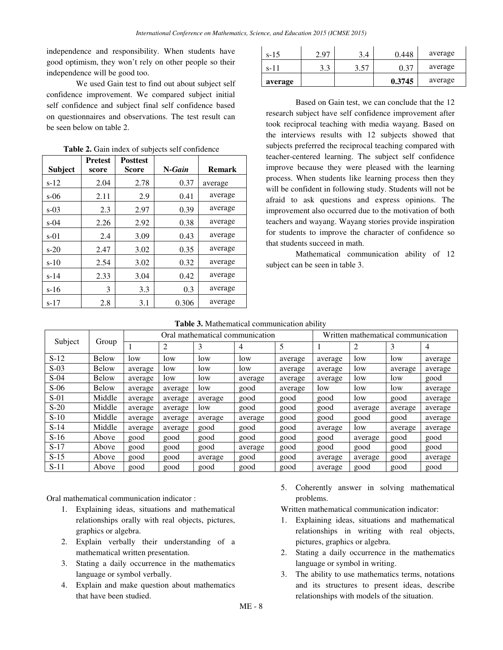independence and responsibility. When students have good optimism, they won't rely on other people so their independence will be good too.

 We used Gain test to find out about subject self confidence improvement. We compared subject initial self confidence and subject final self confidence based on questionnaires and observations. The test result can be seen below on table 2.

| <b>Subject</b> | <b>Pretest</b><br>score | <b>Posttest</b><br><b>Score</b> | $N-Gain$ | <b>Remark</b> |
|----------------|-------------------------|---------------------------------|----------|---------------|
| $s-12$         | 2.04                    | 2.78                            | 0.37     | average       |
| $s-06$         | 2.11                    | 2.9                             | 0.41     | average       |
| $s-0.3$        | 2.3                     | 2.97                            | 0.39     | average       |
| $s-04$         | 2.26                    | 2.92                            | 0.38     | average       |
| $s-01$         | 2.4                     | 3.09                            | 0.43     | average       |
| $s-20$         | 2.47                    | 3.02                            | 0.35     | average       |
| $s-10$         | 2.54                    | 3.02                            | 0.32     | average       |
| $s-14$         | 2.33                    | 3.04                            | 0.42     | average       |
| $s-16$         | 3                       | 3.3                             | 0.3      | average       |
| $s-17$         | 2.8                     | 3.1                             | 0.306    | average       |

**Table 2.** Gain index of subjects self confidence

| $s-15$  | 2.97 | 3.4  | 0.448  | average |
|---------|------|------|--------|---------|
| $s-11$  | 3.3  | 3.57 | 0.37   | average |
| average |      |      | 0.3745 | average |

Based on Gain test, we can conclude that the 12 research subject have self confidence improvement after took reciprocal teaching with media wayang. Based on the interviews results with 12 subjects showed that subjects preferred the reciprocal teaching compared with teacher-centered learning. The subject self confidence improve because they were pleased with the learning process. When students like learning process then they will be confident in following study. Students will not be afraid to ask questions and express opinions. The improvement also occurred due to the motivation of both teachers and wayang. Wayang stories provide inspiration for students to improve the character of confidence so that students succeed in math.

 Mathematical communication ability of 12 subject can be seen in table 3.

| Subject | Group        | Oral mathematical communication |         |         |         | Written mathematical communication |         |                |         |         |
|---------|--------------|---------------------------------|---------|---------|---------|------------------------------------|---------|----------------|---------|---------|
|         |              |                                 | 2       | 3       | 4       | 5                                  |         | $\overline{2}$ | 3       | 4       |
| $S-12$  | <b>Below</b> | low                             | low     | low     | low     | average                            | average | low            | low     | average |
| $S-03$  | <b>Below</b> | average                         | low     | low     | low     | average                            | average | low            | average | average |
| $S-04$  | <b>Below</b> | average                         | low     | low     | average | average                            | average | low            | low     | good    |
| $S-06$  | <b>Below</b> | average                         | average | low     | good    | average                            | low     | low            | low     | average |
| $S-01$  | Middle       | average                         | average | average | good    | good                               | good    | low            | good    | average |
| $S-20$  | Middle       | average                         | average | low     | good    | good                               | good    | average        | average | average |
| $S-10$  | Middle       | average                         | average | average | average | good                               | good    | good           | good    | average |
| $S-14$  | Middle       | average                         | average | good    | good    | good                               | average | low            | average | average |
| $S-16$  | Above        | good                            | good    | good    | good    | good                               | good    | average        | good    | good    |
| $S-17$  | Above        | good                            | good    | good    | average | good                               | good    | good           | good    | good    |
| $S-15$  | Above        | good                            | good    | average | good    | good                               | average | average        | good    | average |
| $S-11$  | Above        | good                            | good    | good    | good    | good                               | average | good           | good    | good    |

Oral mathematical communication indicator :

- 1. Explaining ideas, situations and mathematical relationships orally with real objects, pictures, graphics or algebra.
- 2. Explain verbally their understanding of a mathematical written presentation.
- 3. Stating a daily occurrence in the mathematics language or symbol verbally.
- 4. Explain and make question about mathematics that have been studied.

5. Coherently answer in solving mathematical problems.

Written mathematical communication indicator:

- 1. Explaining ideas, situations and mathematical relationships in writing with real objects, pictures, graphics or algebra.
- 2. Stating a daily occurrence in the mathematics language or symbol in writing.
- 3. The ability to use mathematics terms, notations and its structures to present ideas, describe relationships with models of the situation.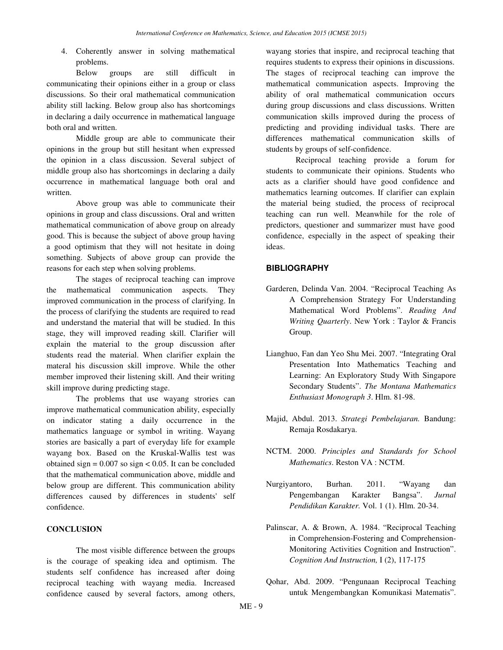4. Coherently answer in solving mathematical problems.

Below groups are still difficult in communicating their opinions either in a group or class discussions. So their oral mathematical communication ability still lacking. Below group also has shortcomings in declaring a daily occurrence in mathematical language both oral and written.

Middle group are able to communicate their opinions in the group but still hesitant when expressed the opinion in a class discussion. Several subject of middle group also has shortcomings in declaring a daily occurrence in mathematical language both oral and written.

Above group was able to communicate their opinions in group and class discussions. Oral and written mathematical communication of above group on already good. This is because the subject of above group having a good optimism that they will not hesitate in doing something. Subjects of above group can provide the reasons for each step when solving problems.

The stages of reciprocal teaching can improve the mathematical communication aspects. They improved communication in the process of clarifying. In the process of clarifying the students are required to read and understand the material that will be studied. In this stage, they will improved reading skill. Clarifier will explain the material to the group discussion after students read the material. When clarifier explain the materal his discussion skill improve. While the other member improved their listening skill. And their writing skill improve during predicting stage.

The problems that use wayang strories can improve mathematical communication ability, especially on indicator stating a daily occurrence in the mathematics language or symbol in writing. Wayang stories are basically a part of everyday life for example wayang box. Based on the Kruskal-Wallis test was obtained sign  $= 0.007$  so sign  $< 0.05$ . It can be concluded that the mathematical communication above, middle and below group are different. This communication ability differences caused by differences in students' self confidence.

## **CONCLUSION**

The most visible difference between the groups is the courage of speaking idea and optimism. The students self confidence has increased after doing reciprocal teaching with wayang media. Increased confidence caused by several factors, among others,

wayang stories that inspire, and reciprocal teaching that requires students to express their opinions in discussions. The stages of reciprocal teaching can improve the mathematical communication aspects. Improving the ability of oral mathematical communication occurs during group discussions and class discussions. Written communication skills improved during the process of predicting and providing individual tasks. There are differences mathematical communication skills of students by groups of self-confidence.

Reciprocal teaching provide a forum for students to communicate their opinions. Students who acts as a clarifier should have good confidence and mathematics learning outcomes. If clarifier can explain the material being studied, the process of reciprocal teaching can run well. Meanwhile for the role of predictors, questioner and summarizer must have good confidence, especially in the aspect of speaking their ideas.

#### **BIBLIOGRAPHY**

- Garderen, Delinda Van. 2004. "Reciprocal Teaching As A Comprehension Strategy For Understanding Mathematical Word Problems". *Reading And Writing Quarterly*. New York : Taylor & Francis Group.
- Lianghuo, Fan dan Yeo Shu Mei. 2007. "Integrating Oral Presentation Into Mathematics Teaching and Learning: An Exploratory Study With Singapore Secondary Students". *The Montana Mathematics Enthusiast Monograph 3*. Hlm. 81-98.
- Majid, Abdul. 2013. *Strategi Pembelajaran.* Bandung: Remaja Rosdakarya.
- NCTM. 2000. *Principles and Standards for School Mathematics*. Reston VA : NCTM.
- Nurgiyantoro, Burhan. 2011. "Wayang dan Pengembangan Karakter Bangsa". *Jurnal Pendidikan Karakter.* Vol. 1 (1). Hlm. 20-34.
- Palinscar, A. & Brown, A. 1984. "Reciprocal Teaching in Comprehension-Fostering and Comprehension-Monitoring Activities Cognition and Instruction". *Cognition And Instruction,* I (2), 117-175
- Qohar, Abd. 2009. "Pengunaan Reciprocal Teaching untuk Mengembangkan Komunikasi Matematis".